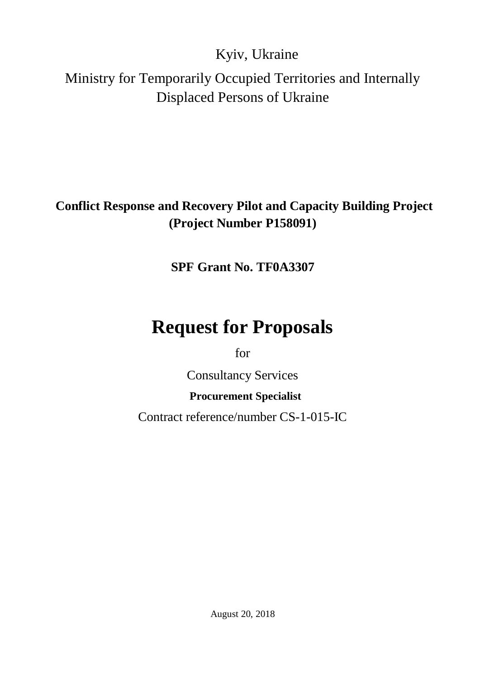Kyiv, Ukraine

Ministry for Temporarily Occupied Territories and Internally Displaced Persons of Ukraine

### **Conflict Response and Recovery Pilot and Capacity Building Project (Project Number P158091)**

**SPF Grant No. TF0A3307**

# **Request for Proposals**

for

Consultancy Services

### **Procurement Specialist**

Contract reference/number CS-1-015-IC

August 20, 2018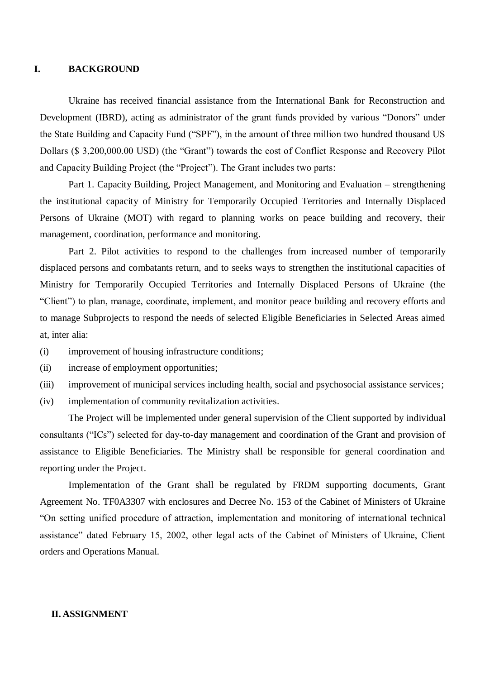#### **I. BACKGROUND**

Ukraine has received financial assistance from the International Bank for Reconstruction and Development (IBRD), acting as administrator of the grant funds provided by various "Donors" under the State Building and Capacity Fund ("SPF"), in the amount of three million two hundred thousand US Dollars (\$ 3,200,000.00 USD) (the "Grant") towards the cost of Conflict Response and Recovery Pilot and Capacity Building Project (the "Project"). The Grant includes two parts:

Part 1. Capacity Building, Project Management, and Monitoring and Evaluation – strengthening the institutional capacity of Ministry for Temporarily Occupied Territories and Internally Displaced Persons of Ukraine (MOT) with regard to planning works on peace building and recovery, their management, coordination, performance and monitoring.

Part 2. Pilot activities to respond to the challenges from increased number of temporarily displaced persons and combatants return, and to seeks ways to strengthen the institutional capacities of Ministry for Temporarily Occupied Territories and Internally Displaced Persons of Ukraine (the "Client") to plan, manage, coordinate, implement, and monitor peace building and recovery efforts and to manage Subprojects to respond the needs of selected Eligible Beneficiaries in Selected Areas aimed at, inter alia:

- (i) improvement of housing infrastructure conditions;
- (ii) increase of employment opportunities;
- (iii) improvement of municipal services including health, social and psychosocial assistance services;
- (iv) implementation of community revitalization activities.

The Project will be implemented under general supervision of the Client supported by individual consultants ("ICs") selected for day-to-day management and coordination of the Grant and provision of assistance to Eligible Beneficiaries. The Ministry shall be responsible for general coordination and reporting under the Project.

Implementation of the Grant shall be regulated by FRDM supporting documents, Grant Agreement No. TF0A3307 with enclosures and Decree No. 153 of the Cabinet of Ministers of Ukraine "On setting unified procedure of attraction, implementation and monitoring of international technical assistance" dated February 15, 2002, other legal acts of the Cabinet of Ministers of Ukraine, Client orders and Operations Manual.

#### **II. ASSIGNMENT**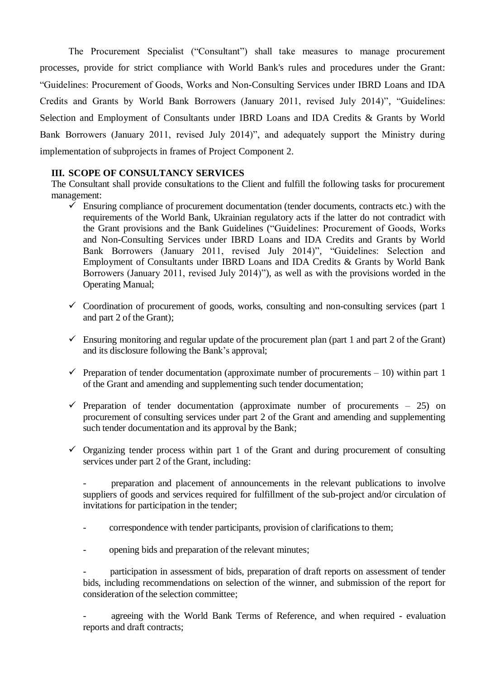The Procurement Specialist ("Сonsultant") shall take measures to manage procurement processes, provide for strict compliance with World Bank's rules and procedures under the Grant: "Guidelines: Procurement of Goods, Works and Non-Consulting Services under IBRD Loans and IDA Credits and Grants by World Bank Borrowers (January 2011, revised July 2014)", "Guidelines: Selection and Employment of Consultants under IBRD Loans and IDA Credits & Grants by World Bank Borrowers (January 2011, revised July 2014)", and adequately support the Ministry during implementation of subprojects in frames of Project Component 2.

### **III. SCOPE OF CONSULTANCY SERVICES**

The Consultant shall provide consultations to the Client and fulfill the following tasks for procurement management:

- $\checkmark$  Ensuring compliance of procurement documentation (tender documents, contracts etc.) with the requirements of the World Bank, Ukrainian regulatory acts if the latter do not contradict with the Grant provisions and the Bank Guidelines ("Guidelines: Procurement of Goods, Works and Non-Consulting Services under IBRD Loans and IDA Credits and Grants by World Bank Borrowers (January 2011, revised July 2014)", "Guidelines: Selection and Employment of Consultants under IBRD Loans and IDA Credits & Grants by World Bank Borrowers (January 2011, revised July 2014)"), as well as with the provisions worded in the Operating Manual;
- $\checkmark$  Coordination of procurement of goods, works, consulting and non-consulting services (part 1) and part 2 of the Grant);
- $\checkmark$  Ensuring monitoring and regular update of the procurement plan (part 1 and part 2 of the Grant) and its disclosure following the Bank's approval;
- Preparation of tender documentation (approximate number of procurements  $-10$ ) within part 1 of the Grant and amending and supplementing such tender documentation;
- $\checkmark$  Preparation of tender documentation (approximate number of procurements 25) on procurement of consulting services under part 2 of the Grant and amending and supplementing such tender documentation and its approval by the Bank;
- $\checkmark$  Organizing tender process within part 1 of the Grant and during procurement of consulting services under part 2 of the Grant, including:

- preparation and placement of announcements in the relevant publications to involve suppliers of goods and services required for fulfillment of the sub-project and/or circulation of invitations for participation in the tender;

- correspondence with tender participants, provision of clarifications to them;
- opening bids and preparation of the relevant minutes;

participation in assessment of bids, preparation of draft reports on assessment of tender bids, including recommendations on selection of the winner, and submission of the report for consideration of the selection committee;

agreeing with the World Bank Terms of Reference, and when required - evaluation reports and draft contracts;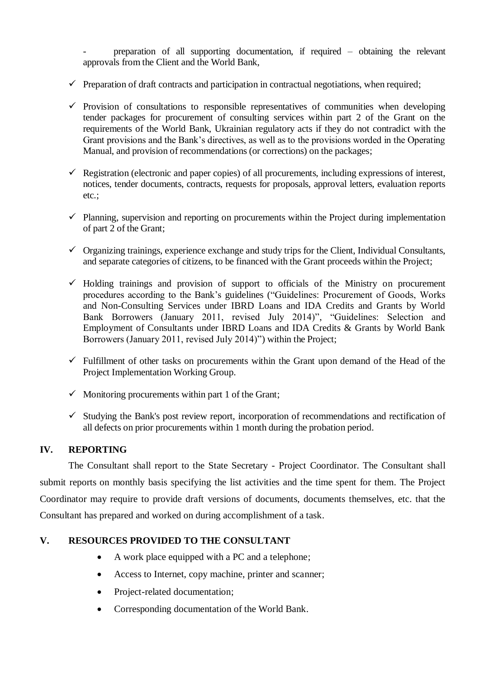- preparation of all supporting documentation, if required – obtaining the relevant approvals from the Client and the World Bank,

- $\checkmark$  Preparation of draft contracts and participation in contractual negotiations, when required;
- $\checkmark$  Provision of consultations to responsible representatives of communities when developing tender packages for procurement of consulting services within part 2 of the Grant on the requirements of the World Bank, Ukrainian regulatory acts if they do not contradict with the Grant provisions and the Bank's directives, as well as to the provisions worded in the Operating Manual, and provision of recommendations (or corrections) on the packages;
- $\checkmark$  Registration (electronic and paper copies) of all procurements, including expressions of interest, notices, tender documents, contracts, requests for proposals, approval letters, evaluation reports etc.;
- $\checkmark$  Planning, supervision and reporting on procurements within the Project during implementation of part 2 of the Grant;
- $\checkmark$  Organizing trainings, experience exchange and study trips for the Client, Individual Consultants, and separate categories of citizens, to be financed with the Grant proceeds within the Project;
- $\checkmark$  Holding trainings and provision of support to officials of the Ministry on procurement procedures according to the Bank's guidelines ("Guidelines: Procurement of Goods, Works and Non-Consulting Services under IBRD Loans and IDA Credits and Grants by World Bank Borrowers (January 2011, revised July 2014)", "Guidelines: Selection and Employment of Consultants under IBRD Loans and IDA Credits & Grants by World Bank Borrowers (January 2011, revised July 2014)") within the Project;
- $\checkmark$  Fulfillment of other tasks on procurements within the Grant upon demand of the Head of the Project Implementation Working Group.
- $\checkmark$  Monitoring procurements within part 1 of the Grant;
- $\checkmark$  Studying the Bank's post review report, incorporation of recommendations and rectification of all defects on prior procurements within 1 month during the probation period.

### **IV. REPORTING**

The Consultant shall report to the State Secretary - Project Coordinator. The Consultant shall submit reports on monthly basis specifying the list activities and the time spent for them. The Project Coordinator may require to provide draft versions of documents, documents themselves, etc. that the Consultant has prepared and worked on during accomplishment of a task.

### **V. RESOURCES PROVIDED TO THE CONSULTANT**

- A work place equipped with a PC and a telephone;
- Access to Internet, copy machine, printer and scanner;
- Project-related documentation;
- Corresponding documentation of the World Bank.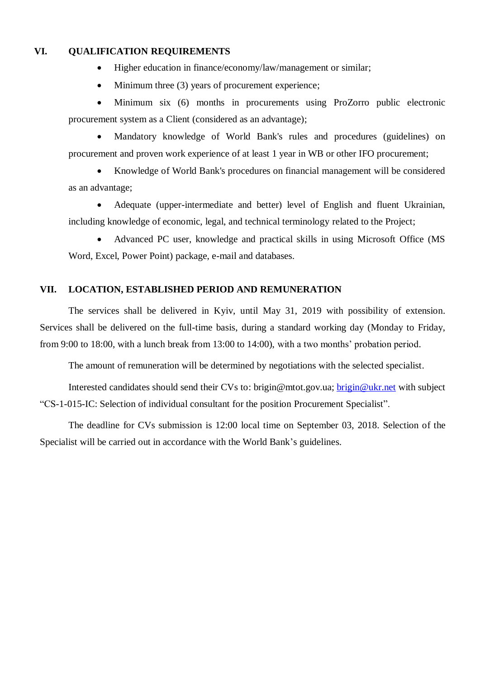### **VI. QUALIFICATION REQUIREMENTS**

- Higher education in finance/economy/law/management or similar;
- Minimum three (3) years of procurement experience;

 Minimum six (6) months in procurements using ProZorro public electronic procurement system as a Client (considered as an advantage);

 Mandatory knowledge of World Bank's rules and procedures (guidelines) on procurement and proven work experience of at least 1 year in WB or other IFO procurement;

 Knowledge of World Bank's procedures on financial management will be considered as an advantage;

 Adequate (upper-intermediate and better) level of English and fluent Ukrainian, including knowledge of economic, legal, and technical terminology related to the Project;

 Advanced PC user, knowledge and practical skills in using Microsoft Office (MS Word, Excel, Power Point) package, e-mail and databases.

### **VII. LOCATION, ESTABLISHED PERIOD AND REMUNERATION**

The services shall be delivered in Kyiv, until May 31, 2019 with possibility of extension. Services shall be delivered on the full-time basis, during a standard working day (Monday to Friday, from 9:00 to 18:00, with a lunch break from 13:00 to 14:00), with a two months' probation period.

The amount of remuneration will be determined by negotiations with the selected specialist.

Interested candidates should send their CVs to: [brigin@mtot.gov.ua;](mailto:brigin@mtot.gov.ua) [brigin@ukr.net](mailto:brigin@ukr.net) with subject "CS-1-015-IC: Selection of individual consultant for the position Procurement Specialist".

The deadline for CVs submission is 12:00 local time on September 03, 2018. Selection of the Specialist will be carried out in accordance with the World Bank's guidelines.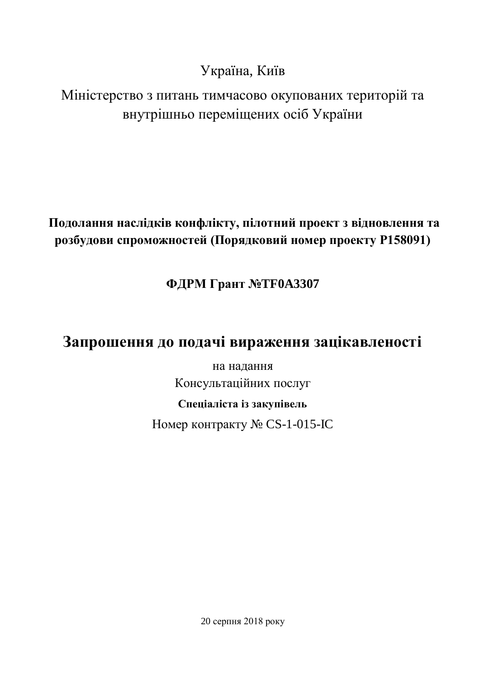Україна, Київ

Міністерство з питань тимчасово окупованих територій та внутрішньо переміщених осіб України

### **Подолання наслідків конфлікту, пілотний проект з відновлення та розбудови спроможностей (Порядковий номер проекту P158091)**

**ФДРМ Грант №TF0A3307**

## **Запрошення до подачі вираження зацікавленості**

на надання Консультаційних послуг

### **Спеціаліста із закупівель**

Номер контракту № CS-1-015-IC

20 серпня 2018 року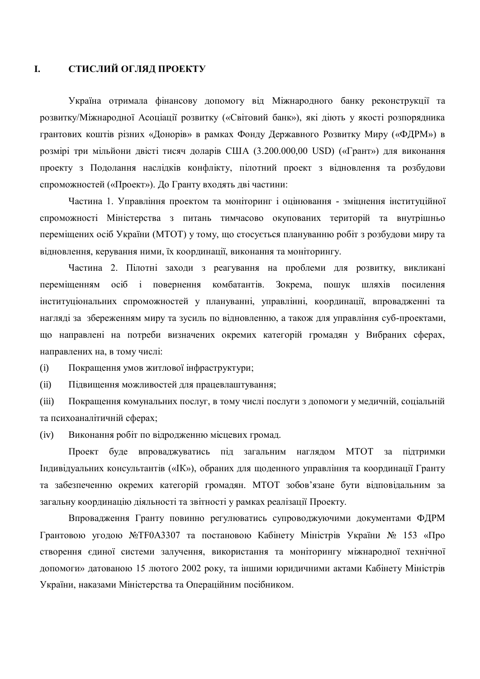### **I. СТИСЛИЙ ОГЛЯД ПРОЕКТУ**

Україна отримала фінансову допомогу від Міжнародного банку реконструкції та розвитку/Міжнародної Асоціації розвитку («Світовий банк»), які діють у якості розпорядника грантових коштів різних «Донорів» в рамках Фонду Державного Розвитку Миру («ФДРМ») в розмірі три мільйони двісті тисяч доларів США (3.200.000,00 USD) («Грант») для виконання проекту з Подолання наслідків конфлікту, пілотний проект з відновлення та розбудови спроможностей («Проект»). До Гранту входять дві частини:

Частина 1. Управління проектом та моніторинг і оцінювання - зміцнення інституційної спроможності Міністерства з питань тимчасово окупованих територій та внутрішньо переміщених осіб України (МТОТ) у тому, що стосується плануванню робіт з розбудови миру та відновлення, керування ними, їх координації, виконання та моніторингу.

Частина 2. Пілотні заходи з реагування на проблеми для розвитку, викликані переміщенням осіб і повернення комбатантів. Зокрема, пошук шляхів посилення інституціональних спроможностей у плануванні, управлінні, координації, впровадженні та нагляді за збереженням миру та зусиль по відновленню, а також для управління суб-проектами, що направлені на потреби визначених окремих категорій громадян у Вибраних сферах, направлених на, в тому числі:

(i) Покращення умов житлової інфраструктури;

(ii) Підвищення можливостей для працевлаштування;

(iii) Покращення комунальних послуг, в тому числі послуги з допомоги у медичній, соціальній та психоаналітичній сферах;

(iv) Виконання робіт по відродженню місцевих громад.

Проект буде впроваджуватись під загальним наглядом МТОТ за підтримки Індивідуальних консультантів («ІК»), обраних для щоденного управління та координації Гранту та забезпеченню окремих категорій громадян. МТОТ зобов'язане бути відповідальним за загальну координацію діяльності та звітності у рамках реалізації Проекту.

Впровадження Гранту повинно регулюватись супроводжуючими документами ФДРМ Грантовою угодою №TF0A3307 та постановою Кабінету Міністрів України № 153 «Про створення єдиної системи залучення, використання та моніторингу міжнародної технічної допомоги» датованою 15 лютого 2002 року, та іншими юридичними актами Кабінету Міністрів України, наказами Міністерства та Операційним посібником.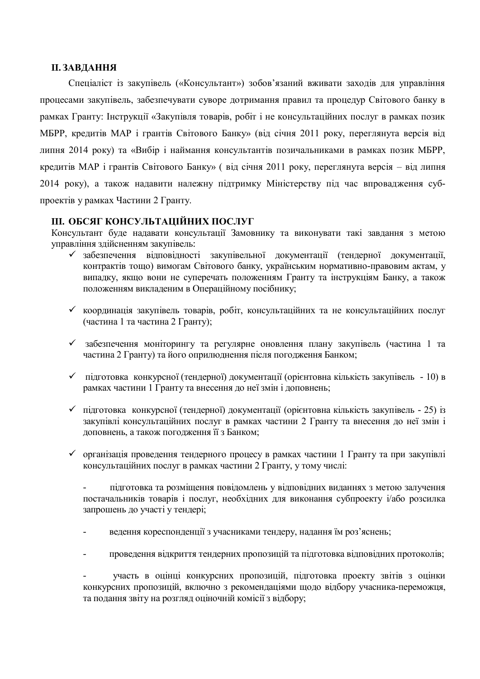### **II. ЗАВДАННЯ**

Спеціаліст із закупівель («Консультант») зобов'язаний вживати заходів для управління процесами закупівель, забезпечувати суворе дотримання правил та процедур Світового банку в рамках Гранту: Інструкції «Закупівля товарів, робіт і не консультаційних послуг в рамках позик МБРР, кредитів МАР і грантів Світового Банку» (від січня 2011 року, переглянута версія від липня 2014 року) та «Вибір і наймання консультантів позичальниками в рамках позик МБРР, кредитів МАР і грантів Світового Банку» ( від січня 2011 року, переглянута версія – від липня 2014 року), а також надавити належну підтримку Міністерству під час впровадження субпроектів у рамках Частини 2 Гранту.

### **III. ОБСЯГ КОНСУЛЬТАЦІЙНИХ ПОСЛУГ**

Консультант буде надавати консультації Замовнику та виконувати такі завдання з метою управління здійсненням закупівель:

- забезпечення відповідності закупівельної документації (тендерної документації, контрактів тощо) вимогам Світового банку, українським нормативно-правовим актам, у випадку, якщо вони не суперечать положенням Гранту та інструкціям Банку, а також положенням викладеним в Операційному посібнику;
- координація закупівель товарів, робіт, консультаційних та не консультаційних послуг (частина 1 та частина 2 Гранту);
- забезпечення моніторингу та регулярне оновлення плану закупівель (частина 1 та частина 2 Гранту) та його оприлюднення після погодження Банком;
- підготовка конкурсної (тендерної) документації (орієнтовна кількість закупівель 10) в рамках частини 1 Гранту та внесення до неї змін і доповнень;
- $\checkmark$  підготовка конкурсної (тендерної) документації (орієнтовна кількість закупівель 25) із закупівлі консультаційних послуг в рамках частини 2 Гранту та внесення до неї змін і доповнень, а також погодження її з Банком;
- організація проведення тендерного процесу в рамках частини 1 Гранту та при закупівлі консультаційних послуг в рамках частини 2 Гранту, у тому числі:

- підготовка та розміщення повідомлень у відповідних виданнях з метою залучення постачальників товарів і послуг, необхідних для виконання субпроекту і/або розсилка запрошень до участі у тендері;

- ведення кореспонденції з учасниками тендеру, надання їм роз'яснень;
- проведення відкриття тендерних пропозицій та підготовка відповідних протоколів;

- участь в оцінці конкурсних пропозицій, підготовка проекту звітів з оцінки конкурсних пропозицій, включно з рекомендаціями щодо відбору учасника-переможця, та подання звіту на розгляд оціночній комісії з відбору;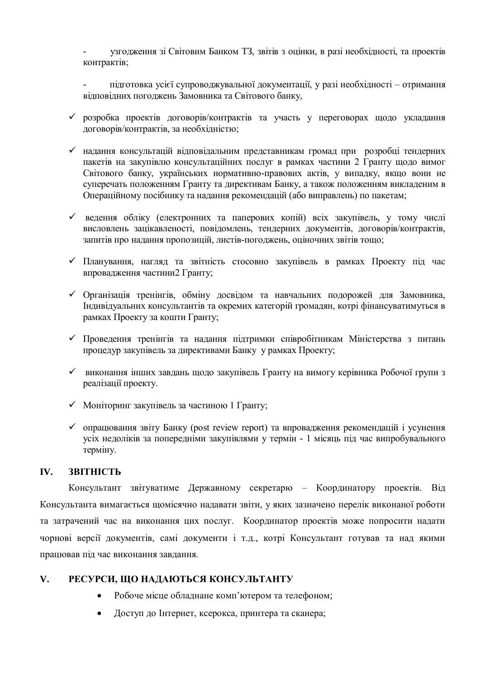- узгодження зі Світовим Банком ТЗ, звітів з оцінки, в разі необхідності, та проектів контрактів;

- підготовка усієї супроводжувальної документації, у разі необхідності – отримання відповідних погоджень Замовника та Світового банку,

- розробка проектів договорів/контрактів та участь у переговорах щодо укладання договорів/контрактів, за необхідністю;
- надання консультацій відповідальним представникам громад при розробці тендерних пакетів на закупівлю консультаційних послуг в рамках частини 2 Гранту щодо вимог Світового банку, українських нормативно-правових актів, у випадку, якщо вони не суперечать положенням Гранту та директивам Банку, а також положенням викладеним в Операційному посібнику та надання рекомендацій (або виправлень) по пакетам;
- ведення обліку (електронних та паперових копій) всіх закупівель, у тому числі висловлень зацікавленості, повідомлень, тендерних документів, договорів/контрактів, запитів про надання пропозицій, листів-погоджень, оціночних звітів тощо;
- Планування, нагляд та звітність стосовно закупівель в рамках Проекту під час впровадження частини2 Гранту;
- Організація тренінгів, обміну досвідом та навчальних подорожей для Замовника, Індивідуальних консультантів та окремих категорій громадян, котрі фінансуватимуться в рамках Проекту за кошти Гранту;
- Проведення тренінгів та надання підтримки співробітникам Міністерства з питань процедур закупівель за директивами Банку у рамках Проекту;
- виконання інших завдань щодо закупівель Гранту на вимогу керівника Робочої групи з реалізації проекту.
- $\checkmark$  Моніторинг закупівель за частиною 1 Гранту;
- $\checkmark$  опрацювання звіту Банку (post review report) та впровадження рекомендацій і усунення усіх недоліків за попередніми закупівлями у термін - 1 місяць під час випробувального терміну.

### **IV. ЗВІТНІСТЬ**

Консультант звітуватиме Державному секретарю – Координатору проектів. Від Консультанта вимагається щомісячно надавати звіти, у яких зазначено перелік виконаної роботи та затрачений час на виконання цих послуг. Координатор проектів може попросити надати чорнові версії документів, самі документи і т.д., котрі Консультант готував та над якими працював під час виконання завдання.

### **V. РЕСУРСИ, ЩО НАДАЮТЬСЯ КОНСУЛЬТАНТУ**

- Робоче місце обладнане комп'ютером та телефоном;
- Доступ до Інтернет, ксерокса, принтера та сканера;